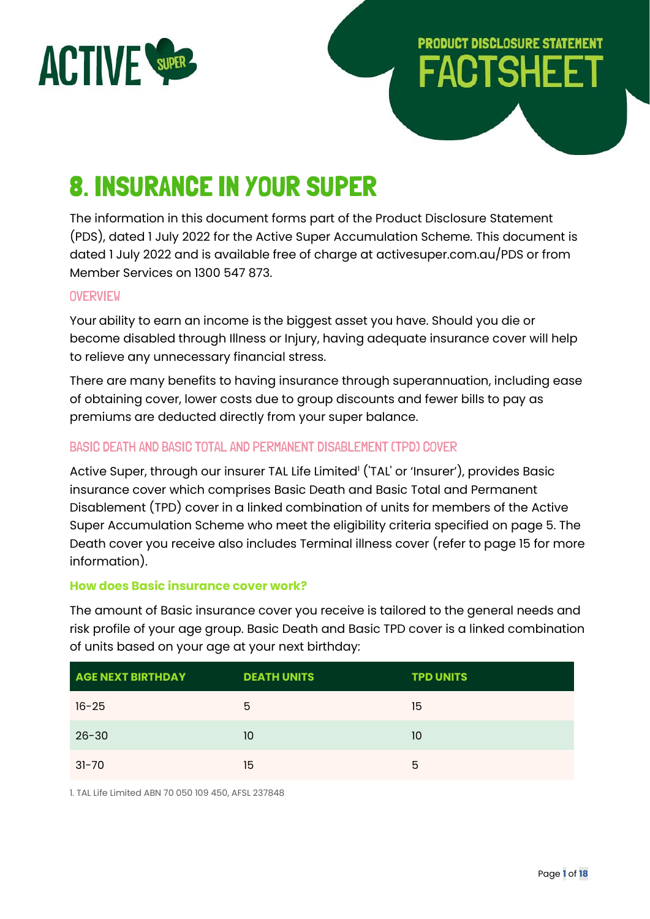

# **PRODUCT DISCLOSURE STATEMENT FACTSHEE**

# 8. INSURANCE IN YOUR SUPER

The information in this document forms part of the Product Disclosure Statement (PDS), dated 1 July 2022 for the Active Super Accumulation Scheme. This document is dated 1 July 2022 and is available free of charge at activesuper.com.au/PDS or from Member Services on 1300 547 873.

## **OVERVIEW**

Your ability to earn an income is the biggest asset you have. Should you die or become disabled through Illness or Injury, having adequate insurance cover will help to relieve any unnecessary financial stress.

There are many benefits to having insurance through superannuation, including ease of obtaining cover, lower costs due to group discounts and fewer bills to pay as premiums are deducted directly from your super balance.

# BASIC DEATH AND BASIC TOTAL AND PERMANENT DISABLEMENT (TPD) COVER

Active Super, through our insurer TAL Life Limited' ('TAL' or 'Insurer'), provides Basic insurance cover which comprises Basic Death and Basic Total and Permanent Disablement (TPD) cover in a linked combination of units for members of the Active Super Accumulation Scheme who meet the eligibility criteria specified on page 5. The Death cover you receive also includes Terminal illness cover (refer to page 15 for more information).

## **How does Basic insurance cover work?**

The amount of Basic insurance cover you receive is tailored to the general needs and risk profile of your age group. Basic Death and Basic TPD cover is a linked combination of units based on your age at your next birthday:

| <b>AGE NEXT BIRTHDAY</b> | <b>DEATH UNITS</b> | <b>TPD UNITS</b> |
|--------------------------|--------------------|------------------|
| $16 - 25$                | 5                  | 15               |
| $26 - 30$                | 10                 | 10               |
| $31 - 70$                | 15                 | 5                |

1. TAL Life Limited ABN 70 050 109 450, AFSL 237848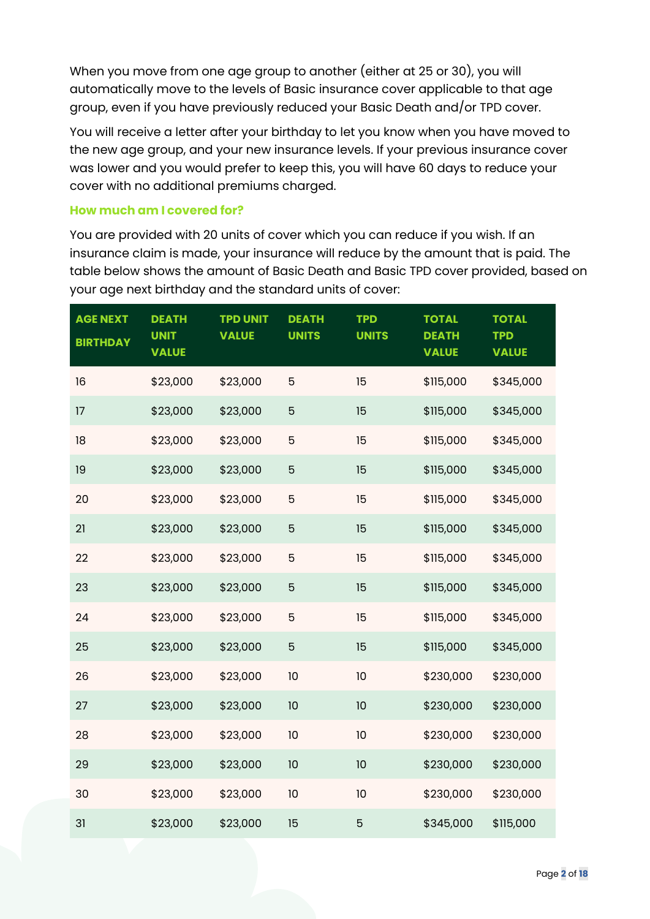When you move from one age group to another (either at 25 or 30), you will automatically move to the levels of Basic insurance cover applicable to that age group, even if you have previously reduced your Basic Death and/or TPD cover.

You will receive a letter after your birthday to let you know when you have moved to the new age group, and your new insurance levels. If your previous insurance cover was lower and you would prefer to keep this, you will have 60 days to reduce your cover with no additional premiums charged.

## **How much am I covered for?**

You are provided with 20 units of cover which you can reduce if you wish. If an insurance claim is made, your insurance will reduce by the amount that is paid. The table below shows the amount of Basic Death and Basic TPD cover provided, based on your age next birthday and the standard units of cover:

| <b>AGE NEXT</b><br><b>BIRTHDAY</b> | <b>DEATH</b><br><b>UNIT</b><br><b>VALUE</b> | <b>TPD UNIT</b><br><b>VALUE</b> | <b>DEATH</b><br><b>UNITS</b> | <b>TPD</b><br><b>UNITS</b> | <b>TOTAL</b><br><b>DEATH</b><br><b>VALUE</b> | <b>TOTAL</b><br><b>TPD</b><br><b>VALUE</b> |
|------------------------------------|---------------------------------------------|---------------------------------|------------------------------|----------------------------|----------------------------------------------|--------------------------------------------|
| 16                                 | \$23,000                                    | \$23,000                        | 5                            | 15                         | \$115,000                                    | \$345,000                                  |
| 17                                 | \$23,000                                    | \$23,000                        | 5                            | 15                         | \$115,000                                    | \$345,000                                  |
| 18                                 | \$23,000                                    | \$23,000                        | 5                            | 15                         | \$115,000                                    | \$345,000                                  |
| 19                                 | \$23,000                                    | \$23,000                        | 5                            | 15                         | \$115,000                                    | \$345,000                                  |
| 20                                 | \$23,000                                    | \$23,000                        | 5                            | 15                         | \$115,000                                    | \$345,000                                  |
| 21                                 | \$23,000                                    | \$23,000                        | 5                            | 15                         | \$115,000                                    | \$345,000                                  |
| 22                                 | \$23,000                                    | \$23,000                        | 5                            | 15                         | \$115,000                                    | \$345,000                                  |
| 23                                 | \$23,000                                    | \$23,000                        | 5                            | 15                         | \$115,000                                    | \$345,000                                  |
| 24                                 | \$23,000                                    | \$23,000                        | 5                            | 15                         | \$115,000                                    | \$345,000                                  |
| 25                                 | \$23,000                                    | \$23,000                        | 5                            | 15                         | \$115,000                                    | \$345,000                                  |
| 26                                 | \$23,000                                    | \$23,000                        | 10                           | 10                         | \$230,000                                    | \$230,000                                  |
| 27                                 | \$23,000                                    | \$23,000                        | 10                           | 10                         | \$230,000                                    | \$230,000                                  |
| 28                                 | \$23,000                                    | \$23,000                        | 10                           | 10                         | \$230,000                                    | \$230,000                                  |
| 29                                 | \$23,000                                    | \$23,000                        | 10                           | 10                         | \$230,000                                    | \$230,000                                  |
| 30                                 | \$23,000                                    | \$23,000                        | 10                           | 10                         | \$230,000                                    | \$230,000                                  |
| 31                                 | \$23,000                                    | \$23,000                        | 15                           | 5                          | \$345,000                                    | \$115,000                                  |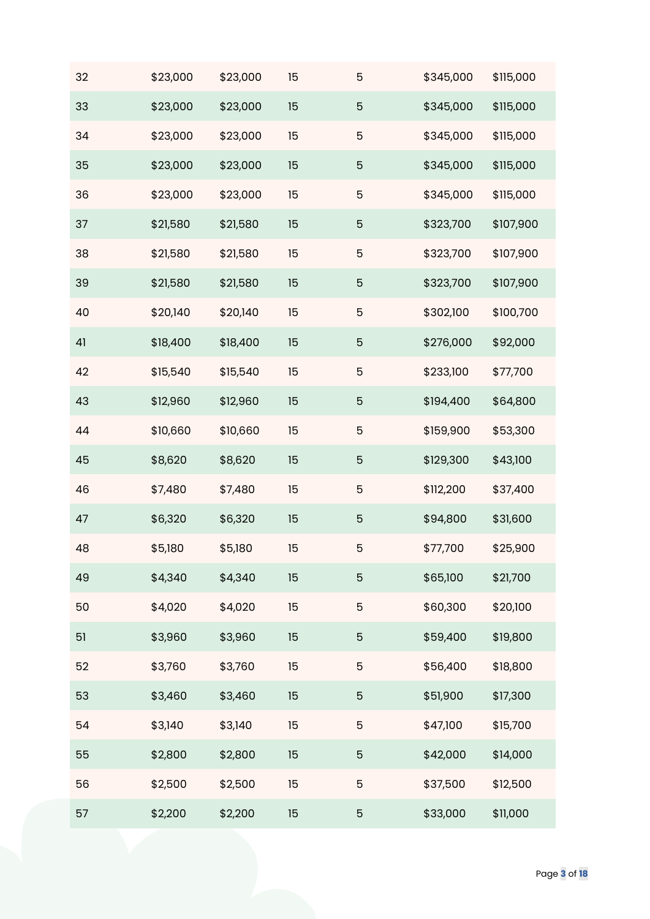| 32 | \$23,000 | \$23,000 | 15 | 5              | \$345,000 | \$115,000 |
|----|----------|----------|----|----------------|-----------|-----------|
| 33 | \$23,000 | \$23,000 | 15 | 5              | \$345,000 | \$115,000 |
| 34 | \$23,000 | \$23,000 | 15 | $\mathbf 5$    | \$345,000 | \$115,000 |
| 35 | \$23,000 | \$23,000 | 15 | $\overline{5}$ | \$345,000 | \$115,000 |
| 36 | \$23,000 | \$23,000 | 15 | 5              | \$345,000 | \$115,000 |
| 37 | \$21,580 | \$21,580 | 15 | 5              | \$323,700 | \$107,900 |
| 38 | \$21,580 | \$21,580 | 15 | $\mathbf 5$    | \$323,700 | \$107,900 |
| 39 | \$21,580 | \$21,580 | 15 | $\overline{5}$ | \$323,700 | \$107,900 |
| 40 | \$20,140 | \$20,140 | 15 | 5              | \$302,100 | \$100,700 |
| 41 | \$18,400 | \$18,400 | 15 | $\mathbf 5$    | \$276,000 | \$92,000  |
| 42 | \$15,540 | \$15,540 | 15 | $\mathbf 5$    | \$233,100 | \$77,700  |
| 43 | \$12,960 | \$12,960 | 15 | $\overline{5}$ | \$194,400 | \$64,800  |
| 44 | \$10,660 | \$10,660 | 15 | $\mathbf 5$    | \$159,900 | \$53,300  |
| 45 | \$8,620  | \$8,620  | 15 | $\mathbf 5$    | \$129,300 | \$43,100  |
| 46 | \$7,480  | \$7,480  | 15 | $\mathbf 5$    | \$112,200 | \$37,400  |
| 47 | \$6,320  | \$6,320  | 15 | $\overline{5}$ | \$94,800  | \$31,600  |
| 48 | \$5,180  | \$5,180  | 15 | 5              | \$77,700  | \$25,900  |
| 49 | \$4,340  | \$4,340  | 15 | 5              | \$65,100  | \$21,700  |
| 50 | \$4,020  | \$4,020  | 15 | $\mathbf 5$    | \$60,300  | \$20,100  |
| 51 | \$3,960  | \$3,960  | 15 | 5              | \$59,400  | \$19,800  |
| 52 | \$3,760  | \$3,760  | 15 | $\mathbf 5$    | \$56,400  | \$18,800  |
| 53 | \$3,460  | \$3,460  | 15 | $\overline{5}$ | \$51,900  | \$17,300  |
| 54 | \$3,140  | \$3,140  | 15 | $\mathbf 5$    | \$47,100  | \$15,700  |
| 55 | \$2,800  | \$2,800  | 15 | 5              | \$42,000  | \$14,000  |
| 56 | \$2,500  | \$2,500  | 15 | $\mathbf 5$    | \$37,500  | \$12,500  |
| 57 | \$2,200  | \$2,200  | 15 | $\overline{5}$ | \$33,000  | \$11,000  |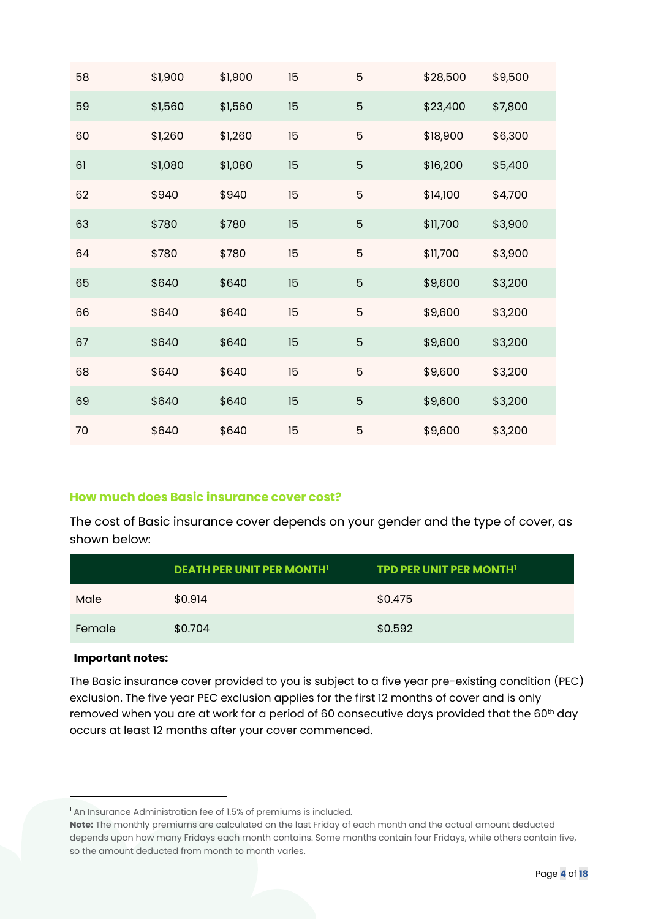| 58 | \$1,900 | \$1,900 | 15 | 5              | \$28,500 | \$9,500 |
|----|---------|---------|----|----------------|----------|---------|
| 59 | \$1,560 | \$1,560 | 15 | $\overline{5}$ | \$23,400 | \$7,800 |
| 60 | \$1,260 | \$1,260 | 15 | 5              | \$18,900 | \$6,300 |
| 61 | \$1,080 | \$1,080 | 15 | 5              | \$16,200 | \$5,400 |
| 62 | \$940   | \$940   | 15 | 5              | \$14,100 | \$4,700 |
| 63 | \$780   | \$780   | 15 | $\overline{5}$ | \$11,700 | \$3,900 |
| 64 | \$780   | \$780   | 15 | 5              | \$11,700 | \$3,900 |
| 65 | \$640   | \$640   | 15 | $\overline{5}$ | \$9,600  | \$3,200 |
| 66 | \$640   | \$640   | 15 | 5              | \$9,600  | \$3,200 |
| 67 | \$640   | \$640   | 15 | 5              | \$9,600  | \$3,200 |
| 68 | \$640   | \$640   | 15 | 5              | \$9,600  | \$3,200 |
| 69 | \$640   | \$640   | 15 | $\overline{5}$ | \$9,600  | \$3,200 |
| 70 | \$640   | \$640   | 15 | 5              | \$9,600  | \$3,200 |

#### **How much does Basic insurance cover cost?**

The cost of Basic insurance cover depends on your gender and the type of cover, as shown below:

|        | <b>DEATH PER UNIT PER MONTH'</b> | <b>TPD PER UNIT PER MONTH'</b> |
|--------|----------------------------------|--------------------------------|
| Male   | \$0.914                          | \$0.475                        |
| Female | \$0.704                          | \$0.592                        |

#### **Important notes:**

The Basic insurance cover provided to you is subject to a five year pre-existing condition (PEC) exclusion. The five year PEC exclusion applies for the first 12 months of cover and is only removed when you are at work for a period of 60 consecutive days provided that the 60<sup>th</sup> day occurs at least 12 months after your cover commenced.

<sup>&</sup>lt;sup>1</sup> An Insurance Administration fee of 1.5% of premiums is included.

**Note:** The monthly premiums are calculated on the last Friday of each month and the actual amount deducted depends upon how many Fridays each month contains. Some months contain four Fridays, while others contain five, so the amount deducted from month to month varies.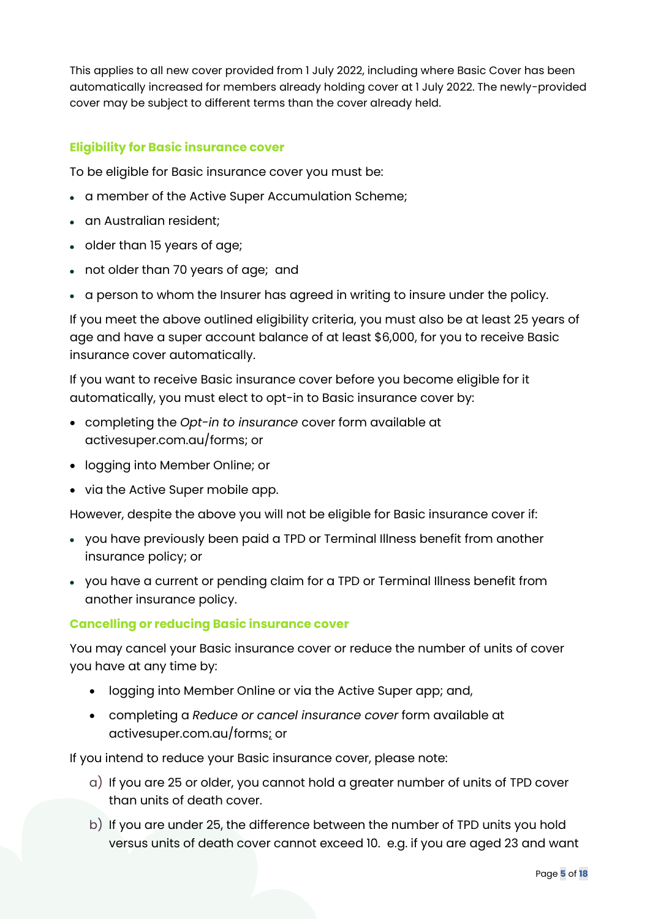This applies to all new cover provided from 1 July 2022, including where Basic Cover has been automatically increased for members already holding cover at 1 July 2022. The newly-provided cover may be subject to different terms than the cover already held.

## **Eligibility for Basic insurance cover**

To be eligible for Basic insurance cover you must be:

- a member of the Active Super Accumulation Scheme;
- an Australian resident;
- older than 15 years of age;
- not older than 70 years of age; and
- a person to whom the Insurer has agreed in writing to insure under the policy.

If you meet the above outlined eligibility criteria, you must also be at least 25 years of age and have a super account balance of at least \$6,000, for you to receive Basic insurance cover automatically.

If you want to receive Basic insurance cover before you become eligible for it automatically, you must elect to opt-in to Basic insurance cover by:

- completing the *Opt-in to insurance* cover form available at activesuper.com.au/forms; or
- logging into Member Online; or
- via the Active Super mobile app.

However, despite the above you will not be eligible for Basic insurance cover if:

- you have previously been paid a TPD or Terminal Illness benefit from another insurance policy; or
- you have a current or pending claim for a TPD or Terminal Illness benefit from another insurance policy.

#### **Cancelling or reducing Basic insurance cover**

You may cancel your Basic insurance cover or reduce the number of units of cover you have at any time by:

- logging into Member Online or via the Active Super app; and,
- completing a *Reduce or cancel insurance cover* form available at activesuper.com.au/forms; or

If you intend to reduce your Basic insurance cover, please note:

- a) If you are 25 or older, you cannot hold a greater number of units of TPD cover than units of death cover.
- b) If you are under 25, the difference between the number of TPD units you hold versus units of death cover cannot exceed 10. e.g. if you are aged 23 and want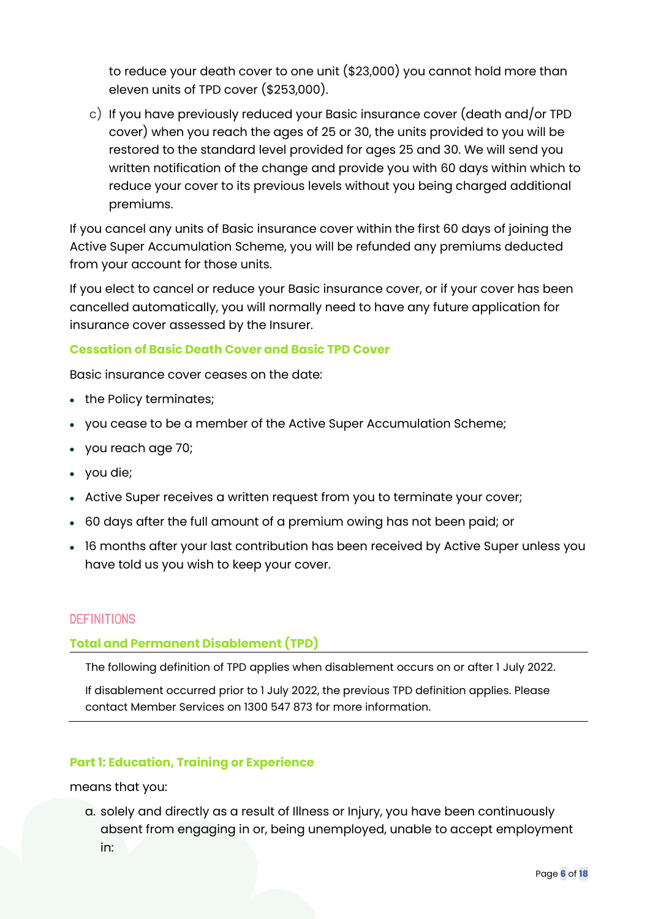to reduce your death cover to one unit (\$23,000) you cannot hold more than eleven units of TPD cover (\$253,000).

c) If you have previously reduced your Basic insurance cover (death and/or TPD cover) when you reach the ages of 25 or 30, the units provided to you will be restored to the standard level provided for ages 25 and 30. We will send you written notification of the change and provide you with 60 days within which to reduce your cover to its previous levels without you being charged additional premiums.

If you cancel any units of Basic insurance cover within the first 60 days of joining the Active Super Accumulation Scheme, you will be refunded any premiums deducted from your account for those units.

If you elect to cancel or reduce your Basic insurance cover, or if your cover has been cancelled automatically, you will normally need to have any future application for insurance cover assessed by the Insurer.

## **Cessation of Basic Death Cover and Basic TPD Cover**

Basic insurance cover ceases on the date:

- the Policy terminates;
- you cease to be a member of the Active Super Accumulation Scheme;
- you reach age 70;
- you die;
- Active Super receives a written request from you to terminate your cover;
- 60 days after the full amount of a premium owing has not been paid; or
- 16 months after your last contribution has been received by Active Super unless you have told us you wish to keep your cover.

## **DEFINITIONS**

## **Total and Permanent Disablement (TPD)**

The following definition of TPD applies when disablement occurs on or after 1 July 2022.

If disablement occurred prior to 1 July 2022, the previous TPD definition applies. Please contact Member Services on 1300 547 873 for more information.

#### **Part 1: Education, Training or Experience**

means that you:

a. solely and directly as a result of Illness or Injury, you have been continuously absent from engaging in or, being unemployed, unable to accept employment in: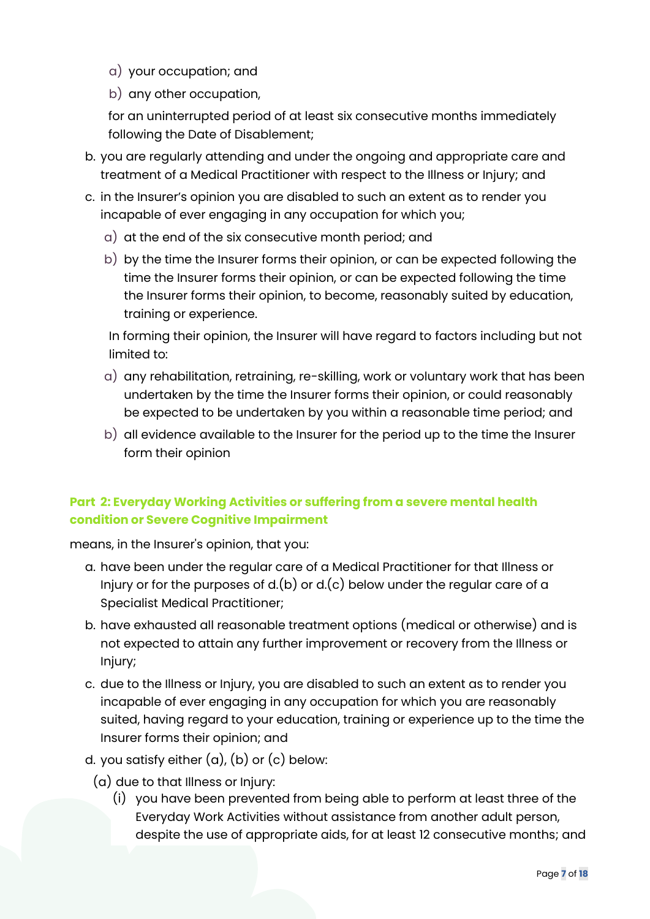- a) your occupation; and
- b) any other occupation,

for an uninterrupted period of at least six consecutive months immediately following the Date of Disablement;

- b. you are regularly attending and under the ongoing and appropriate care and treatment of a Medical Practitioner with respect to the Illness or Injury; and
- c. in the Insurer's opinion you are disabled to such an extent as to render you incapable of ever engaging in any occupation for which you;
	- a) at the end of the six consecutive month period; and
	- b) by the time the Insurer forms their opinion, or can be expected following the time the Insurer forms their opinion, or can be expected following the time the Insurer forms their opinion, to become, reasonably suited by education, training or experience.

In forming their opinion, the Insurer will have regard to factors including but not limited to:

- a) any rehabilitation, retraining, re-skilling, work or voluntary work that has been undertaken by the time the Insurer forms their opinion, or could reasonably be expected to be undertaken by you within a reasonable time period; and
- b) all evidence available to the Insurer for the period up to the time the Insurer form their opinion

# **Part 2: Everyday Working Activities or suffering from a severe mental health condition or Severe Cognitive Impairment**

means, in the Insurer's opinion, that you:

- a. have been under the regular care of a Medical Practitioner for that Illness or Injury or for the purposes of  $d(b)$  or  $d(c)$  below under the regular care of a Specialist Medical Practitioner;
- b. have exhausted all reasonable treatment options (medical or otherwise) and is not expected to attain any further improvement or recovery from the Illness or Injury;
- c. due to the Illness or Injury, you are disabled to such an extent as to render you incapable of ever engaging in any occupation for which you are reasonably suited, having regard to your education, training or experience up to the time the Insurer forms their opinion; and
- d. you satisfy either  $(a)$ ,  $(b)$  or  $(c)$  below:
	- (a) due to that Illness or Injury:
		- (i) you have been prevented from being able to perform at least three of the Everyday Work Activities without assistance from another adult person, despite the use of appropriate aids, for at least 12 consecutive months; and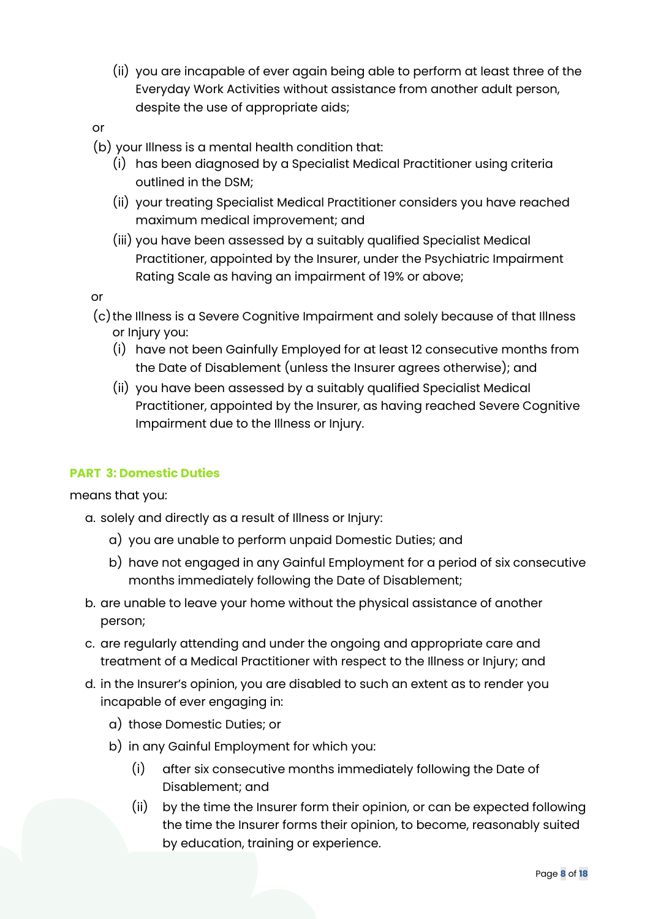(ii) you are incapable of ever again being able to perform at least three of the Everyday Work Activities without assistance from another adult person, despite the use of appropriate aids;

or

- (b) your Illness is a mental health condition that:
	- (i) has been diagnosed by a Specialist Medical Practitioner using criteria outlined in the DSM;
	- (ii) your treating Specialist Medical Practitioner considers you have reached maximum medical improvement; and
	- (iii) you have been assessed by a suitably qualified Specialist Medical Practitioner, appointed by the Insurer, under the Psychiatric Impairment Rating Scale as having an impairment of 19% or above;

or

- (c)the Illness is a Severe Cognitive Impairment and solely because of that Illness or Injury you:
	- (i) have not been Gainfully Employed for at least 12 consecutive months from the Date of Disablement (unless the Insurer agrees otherwise); and
	- (ii) you have been assessed by a suitably qualified Specialist Medical Practitioner, appointed by the Insurer, as having reached Severe Cognitive Impairment due to the Illness or Injury.

## **PART 3: Domestic Duties**

means that you:

a. solely and directly as a result of Illness or Injury:

- a) you are unable to perform unpaid Domestic Duties; and
- b) have not engaged in any Gainful Employment for a period of six consecutive months immediately following the Date of Disablement;
- b. are unable to leave your home without the physical assistance of another person;
- c. are regularly attending and under the ongoing and appropriate care and treatment of a Medical Practitioner with respect to the Illness or Injury; and
- d. in the Insurer's opinion, you are disabled to such an extent as to render you incapable of ever engaging in:
	- a) those Domestic Duties; or
	- b) in any Gainful Employment for which you:
		- (i) after six consecutive months immediately following the Date of Disablement; and
		- (ii) by the time the Insurer form their opinion, or can be expected following the time the Insurer forms their opinion, to become, reasonably suited by education, training or experience.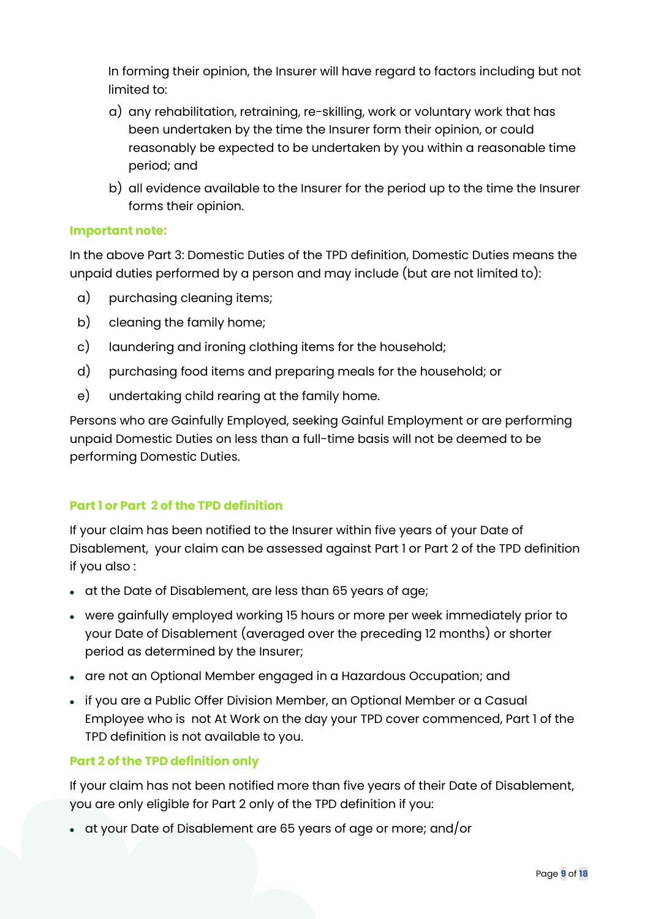In forming their opinion, the Insurer will have regard to factors including but not limited to:

- a) any rehabilitation, retraining, re-skilling, work or voluntary work that has been undertaken by the time the Insurer form their opinion, or could reasonably be expected to be undertaken by you within a reasonable time period; and
- b) all evidence available to the Insurer for the period up to the time the Insurer forms their opinion.

## **Important note:**

In the above Part 3: Domestic Duties of the TPD definition, Domestic Duties means the unpaid duties performed by a person and may include (but are not limited to):

- a) purchasing cleaning items;
- b) cleaning the family home;
- c) laundering and ironing clothing items for the household;
- d) purchasing food items and preparing meals for the household; or
- e) undertaking child rearing at the family home.

Persons who are Gainfully Employed, seeking Gainful Employment or are performing unpaid Domestic Duties on less than a full-time basis will not be deemed to be performing Domestic Duties.

## **Part 1 or Part 2 of the TPD definition**

If your claim has been notified to the Insurer within five years of your Date of Disablement, your claim can be assessed against Part 1 or Part 2 of the TPD definition if you also :

- at the Date of Disablement, are less than 65 years of age;
- were gainfully employed working 15 hours or more per week immediately prior to your Date of Disablement (averaged over the preceding 12 months) or shorter period as determined by the Insurer;
- are not an Optional Member engaged in a Hazardous Occupation; and
- if you are a Public Offer Division Member, an Optional Member or a Casual Employee who is not At Work on the day your TPD cover commenced, Part 1 of the TPD definition is not available to you.

## **Part 2 of the TPD definition only**

If your claim has not been notified more than five years of their Date of Disablement, you are only eligible for Part 2 only of the TPD definition if you:

• at your Date of Disablement are 65 years of age or more; and/or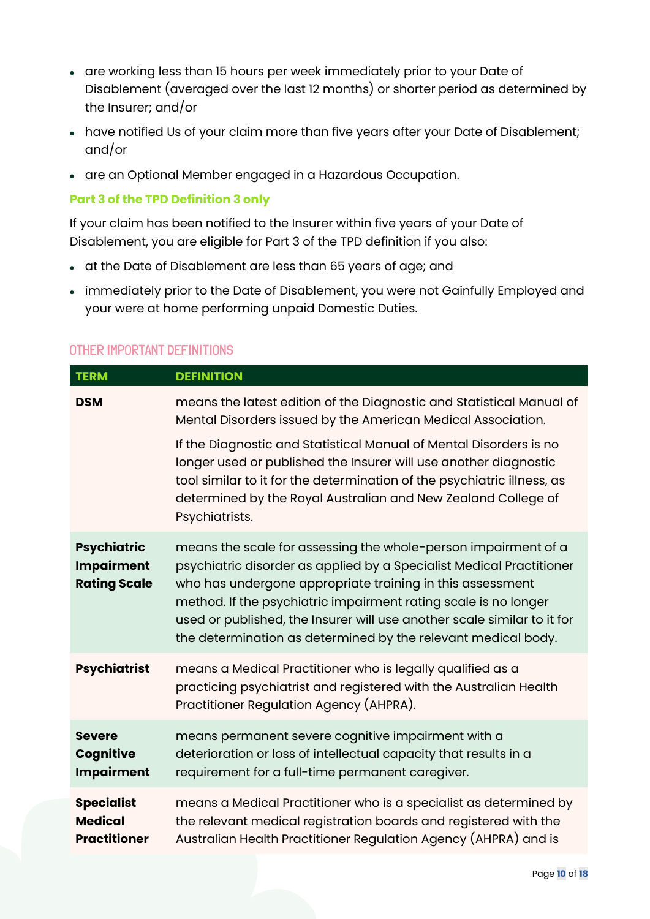- are working less than 15 hours per week immediately prior to your Date of Disablement (averaged over the last 12 months) or shorter period as determined by the Insurer; and/or
- have notified Us of your claim more than five years after your Date of Disablement; and/or
- are an Optional Member engaged in a Hazardous Occupation.

## **Part 3 of the TPD Definition 3 only**

If your claim has been notified to the Insurer within five years of your Date of Disablement, you are eligible for Part 3 of the TPD definition if you also:

- at the Date of Disablement are less than 65 years of age; and
- immediately prior to the Date of Disablement, you were not Gainfully Employed and your were at home performing unpaid Domestic Duties.

# OTHER IMPORTANT DEFINITIONS

| <b>TERM</b>                                                    | <b>DEFINITION</b>                                                                                                                                                                                                                                                                                                                                                                                                  |
|----------------------------------------------------------------|--------------------------------------------------------------------------------------------------------------------------------------------------------------------------------------------------------------------------------------------------------------------------------------------------------------------------------------------------------------------------------------------------------------------|
| <b>DSM</b>                                                     | means the latest edition of the Diagnostic and Statistical Manual of<br>Mental Disorders issued by the American Medical Association.                                                                                                                                                                                                                                                                               |
|                                                                | If the Diagnostic and Statistical Manual of Mental Disorders is no<br>longer used or published the Insurer will use another diagnostic<br>tool similar to it for the determination of the psychiatric illness, as<br>determined by the Royal Australian and New Zealand College of<br>Psychiatrists.                                                                                                               |
| <b>Psychiatric</b><br><b>Impairment</b><br><b>Rating Scale</b> | means the scale for assessing the whole-person impairment of a<br>psychiatric disorder as applied by a Specialist Medical Practitioner<br>who has undergone appropriate training in this assessment<br>method. If the psychiatric impairment rating scale is no longer<br>used or published, the Insurer will use another scale similar to it for<br>the determination as determined by the relevant medical body. |
| <b>Psychiatrist</b>                                            | means a Medical Practitioner who is legally qualified as a<br>practicing psychiatrist and registered with the Australian Health<br>Practitioner Regulation Agency (AHPRA).                                                                                                                                                                                                                                         |
| <b>Severe</b><br>Cognitive<br><b>Impairment</b>                | means permanent severe cognitive impairment with a<br>deterioration or loss of intellectual capacity that results in a<br>requirement for a full-time permanent caregiver.                                                                                                                                                                                                                                         |
| <b>Specialist</b><br><b>Medical</b><br><b>Practitioner</b>     | means a Medical Practitioner who is a specialist as determined by<br>the relevant medical registration boards and registered with the<br>Australian Health Practitioner Regulation Agency (AHPRA) and is                                                                                                                                                                                                           |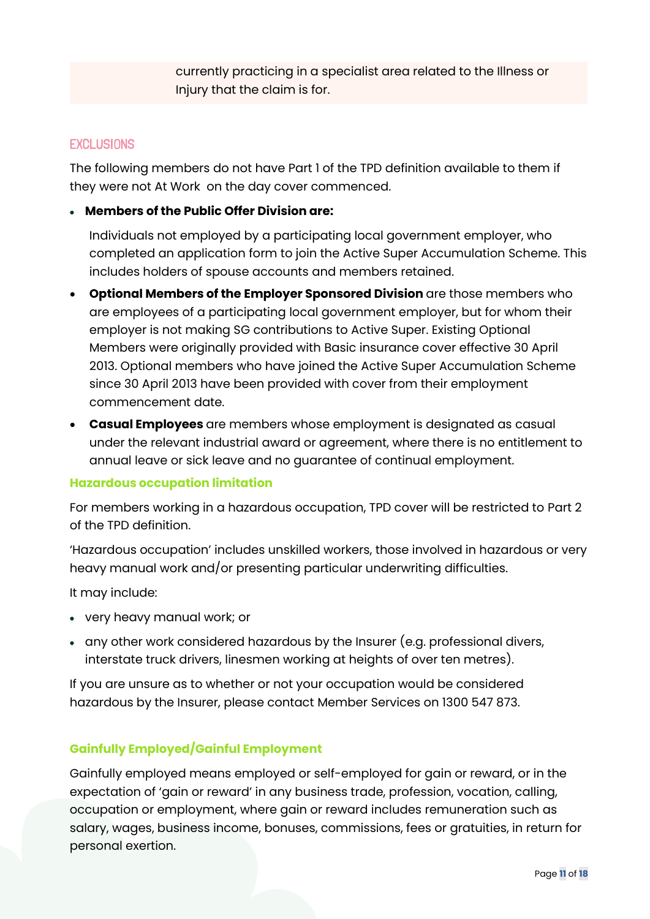currently practicing in a specialist area related to the Illness or Injury that the claim is for.

## **EXCLUSIONS**

The following members do not have Part 1 of the TPD definition available to them if they were not At Work on the day cover commenced.

#### • **Members of the Public Offer Division are:**

Individuals not employed by a participating local government employer, who completed an application form to join the Active Super Accumulation Scheme. This includes holders of spouse accounts and members retained.

- **Optional Members of the Employer Sponsored Division** are those members who are employees of a participating local government employer, but for whom their employer is not making SG contributions to Active Super. Existing Optional Members were originally provided with Basic insurance cover effective 30 April 2013. Optional members who have joined the Active Super Accumulation Scheme since 30 April 2013 have been provided with cover from their employment commencement date.
- **Casual Employees** are members whose employment is designated as casual under the relevant industrial award or agreement, where there is no entitlement to annual leave or sick leave and no guarantee of continual employment.

#### **Hazardous occupation limitation**

For members working in a hazardous occupation, TPD cover will be restricted to Part 2 of the TPD definition.

'Hazardous occupation' includes unskilled workers, those involved in hazardous or very heavy manual work and/or presenting particular underwriting difficulties.

It may include:

- very heavy manual work; or
- any other work considered hazardous by the Insurer (e.g. professional divers, interstate truck drivers, linesmen working at heights of over ten metres).

If you are unsure as to whether or not your occupation would be considered hazardous by the Insurer, please contact Member Services on 1300 547 873.

## **Gainfully Employed/Gainful Employment**

Gainfully employed means employed or self-employed for gain or reward, or in the expectation of 'gain or reward' in any business trade, profession, vocation, calling, occupation or employment, where gain or reward includes remuneration such as salary, wages, business income, bonuses, commissions, fees or gratuities, in return for personal exertion.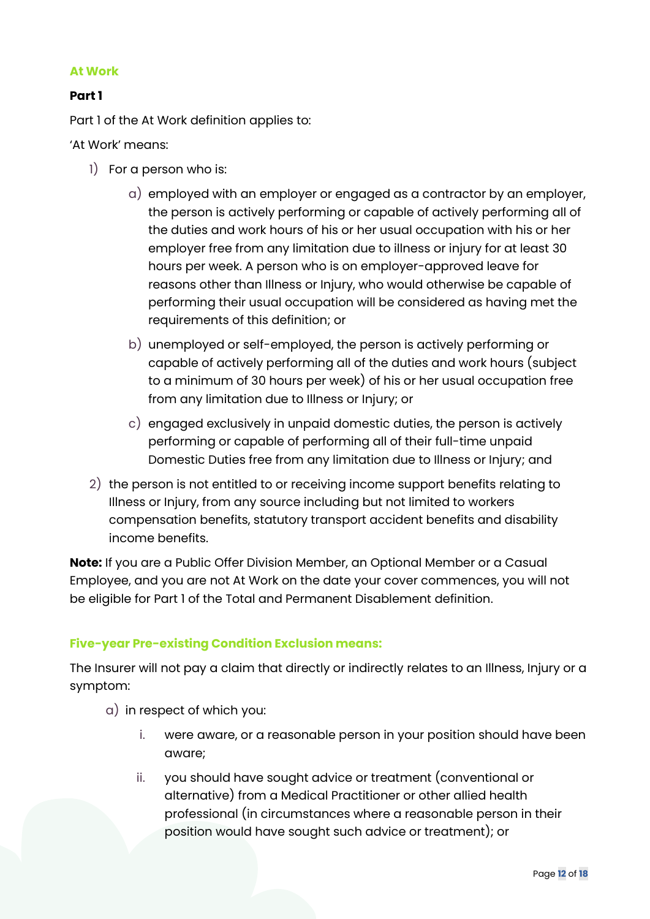#### **At Work**

## **Part 1**

Part 1 of the At Work definition applies to:

'At Work' means:

- 1) For a person who is:
	- a) employed with an employer or engaged as a contractor by an employer, the person is actively performing or capable of actively performing all of the duties and work hours of his or her usual occupation with his or her employer free from any limitation due to illness or injury for at least 30 hours per week. A person who is on employer-approved leave for reasons other than Illness or Injury, who would otherwise be capable of performing their usual occupation will be considered as having met the requirements of this definition; or
	- b) unemployed or self-employed, the person is actively performing or capable of actively performing all of the duties and work hours (subject to a minimum of 30 hours per week) of his or her usual occupation free from any limitation due to Illness or Injury; or
	- c) engaged exclusively in unpaid domestic duties, the person is actively performing or capable of performing all of their full-time unpaid Domestic Duties free from any limitation due to Illness or Injury; and
- 2) the person is not entitled to or receiving income support benefits relating to Illness or Injury, from any source including but not limited to workers compensation benefits, statutory transport accident benefits and disability income benefits.

**Note:** If you are a Public Offer Division Member, an Optional Member or a Casual Employee, and you are not At Work on the date your cover commences, you will not be eligible for Part 1 of the Total and Permanent Disablement definition.

## **Five-year Pre-existing Condition Exclusion means:**

The Insurer will not pay a claim that directly or indirectly relates to an Illness, Injury or a symptom:

- a) in respect of which you:
	- i. were aware, or a reasonable person in your position should have been aware;
	- ii. you should have sought advice or treatment (conventional or alternative) from a Medical Practitioner or other allied health professional (in circumstances where a reasonable person in their position would have sought such advice or treatment); or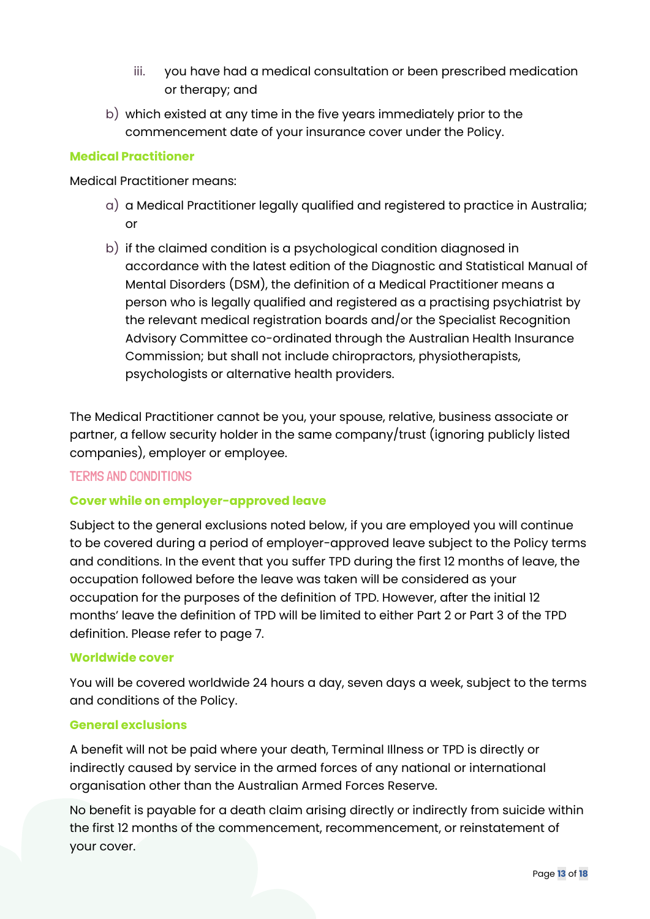- iii. you have had a medical consultation or been prescribed medication or therapy; and
- b) which existed at any time in the five years immediately prior to the commencement date of your insurance cover under the Policy.

## **Medical Practitioner**

Medical Practitioner means:

- a) a Medical Practitioner legally qualified and registered to practice in Australia; or
- b) if the claimed condition is a psychological condition diagnosed in accordance with the latest edition of the Diagnostic and Statistical Manual of Mental Disorders (DSM), the definition of a Medical Practitioner means a person who is legally qualified and registered as a practising psychiatrist by the relevant medical registration boards and/or the Specialist Recognition Advisory Committee co-ordinated through the Australian Health Insurance Commission; but shall not include chiropractors, physiotherapists, psychologists or alternative health providers.

The Medical Practitioner cannot be you, your spouse, relative, business associate or partner, a fellow security holder in the same company/trust (ignoring publicly listed companies), employer or employee.

## TERMS AND CONDITIONS

## **Cover while on employer-approved leave**

Subject to the general exclusions noted below, if you are employed you will continue to be covered during a period of employer-approved leave subject to the Policy terms and conditions. In the event that you suffer TPD during the first 12 months of leave, the occupation followed before the leave was taken will be considered as your occupation for the purposes of the definition of TPD. However, after the initial 12 months' leave the definition of TPD will be limited to either Part 2 or Part 3 of the TPD definition. Please refer to page 7.

#### **Worldwide cover**

You will be covered worldwide 24 hours a day, seven days a week, subject to the terms and conditions of the Policy.

#### **General exclusions**

A benefit will not be paid where your death, Terminal Illness or TPD is directly or indirectly caused by service in the armed forces of any national or international organisation other than the Australian Armed Forces Reserve.

No benefit is payable for a death claim arising directly or indirectly from suicide within the first 12 months of the commencement, recommencement, or reinstatement of your cover.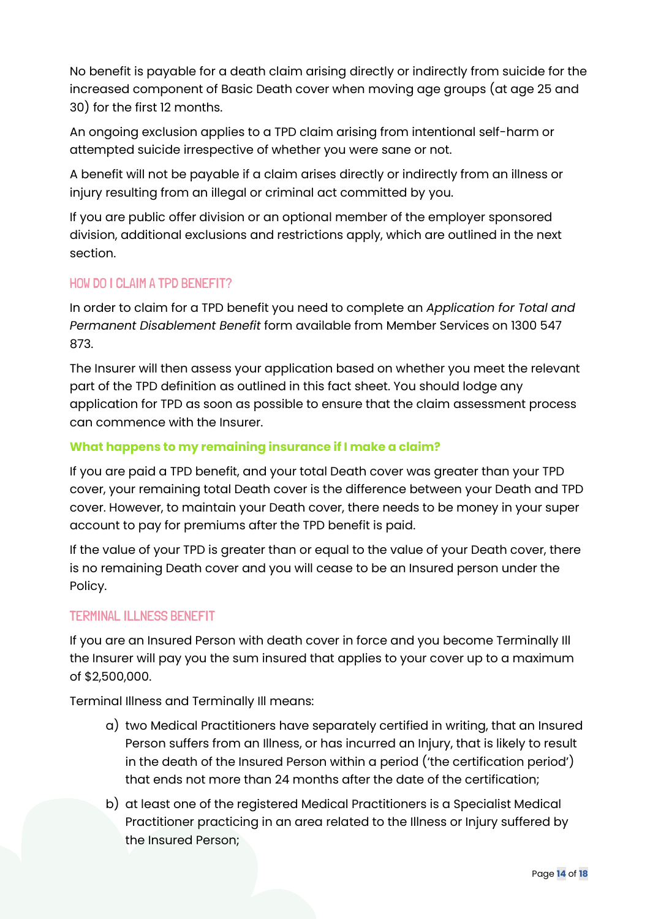No benefit is payable for a death claim arising directly or indirectly from suicide for the increased component of Basic Death cover when moving age groups (at age 25 and 30) for the first 12 months.

An ongoing exclusion applies to a TPD claim arising from intentional self-harm or attempted suicide irrespective of whether you were sane or not.

A benefit will not be payable if a claim arises directly or indirectly from an illness or injury resulting from an illegal or criminal act committed by you.

If you are public offer division or an optional member of the employer sponsored division, additional exclusions and restrictions apply, which are outlined in the next section.

# HOW DO I CLAIM A TPD BENEFIT?

In order to claim for a TPD benefit you need to complete an *Application for Total and Permanent Disablement Benefit* form available from Member Services on 1300 547 873.

The Insurer will then assess your application based on whether you meet the relevant part of the TPD definition as outlined in this fact sheet. You should lodge any application for TPD as soon as possible to ensure that the claim assessment process can commence with the Insurer.

## **What happens to my remaining insurance if I make a claim?**

If you are paid a TPD benefit, and your total Death cover was greater than your TPD cover, your remaining total Death cover is the difference between your Death and TPD cover. However, to maintain your Death cover, there needs to be money in your super account to pay for premiums after the TPD benefit is paid.

If the value of your TPD is greater than or equal to the value of your Death cover, there is no remaining Death cover and you will cease to be an Insured person under the Policy.

## TERMINAL ILLNESS BENEFIT

If you are an Insured Person with death cover in force and you become Terminally Ill the Insurer will pay you the sum insured that applies to your cover up to a maximum of \$2,500,000.

Terminal Illness and Terminally Ill means:

- a) two Medical Practitioners have separately certified in writing, that an Insured Person suffers from an Illness, or has incurred an Injury, that is likely to result in the death of the Insured Person within a period ('the certification period') that ends not more than 24 months after the date of the certification;
- b) at least one of the registered Medical Practitioners is a Specialist Medical Practitioner practicing in an area related to the Illness or Injury suffered by the Insured Person;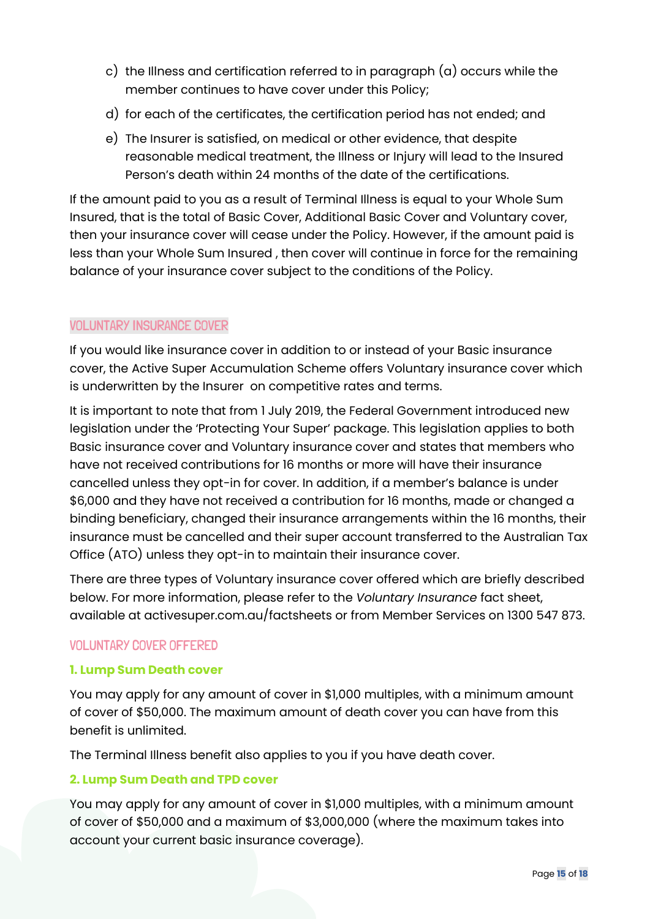- c) the Illness and certification referred to in paragraph (a) occurs while the member continues to have cover under this Policy;
- d) for each of the certificates, the certification period has not ended; and
- e) The Insurer is satisfied, on medical or other evidence, that despite reasonable medical treatment, the Illness or Injury will lead to the Insured Person's death within 24 months of the date of the certifications.

If the amount paid to you as a result of Terminal Illness is equal to your Whole Sum Insured, that is the total of Basic Cover, Additional Basic Cover and Voluntary cover, then your insurance cover will cease under the Policy. However, if the amount paid is less than your Whole Sum Insured , then cover will continue in force for the remaining balance of your insurance cover subject to the conditions of the Policy.

## VOLUNTARY INSURANCE COVER

If you would like insurance cover in addition to or instead of your Basic insurance cover, the Active Super Accumulation Scheme offers Voluntary insurance cover which is underwritten by the Insurer on competitive rates and terms.

It is important to note that from 1 July 2019, the Federal Government introduced new legislation under the 'Protecting Your Super' package. This legislation applies to both Basic insurance cover and Voluntary insurance cover and states that members who have not received contributions for 16 months or more will have their insurance cancelled unless they opt-in for cover. In addition, if a member's balance is under \$6,000 and they have not received a contribution for 16 months, made or changed a binding beneficiary, changed their insurance arrangements within the 16 months, their insurance must be cancelled and their super account transferred to the Australian Tax Office (ATO) unless they opt-in to maintain their insurance cover.

There are three types of Voluntary insurance cover offered which are briefly described below. For more information, please refer to the *Voluntary Insurance* fact sheet, available at activesuper.com.au/factsheets or from Member Services on 1300 547 873.

## VOLUNTARY COVER OFFERED

## **1. Lump Sum Death cover**

You may apply for any amount of cover in \$1,000 multiples, with a minimum amount of cover of \$50,000. The maximum amount of death cover you can have from this benefit is unlimited.

The Terminal Illness benefit also applies to you if you have death cover.

## **2. Lump Sum Death and TPD cover**

You may apply for any amount of cover in \$1,000 multiples, with a minimum amount of cover of \$50,000 and a maximum of \$3,000,000 (where the maximum takes into account your current basic insurance coverage).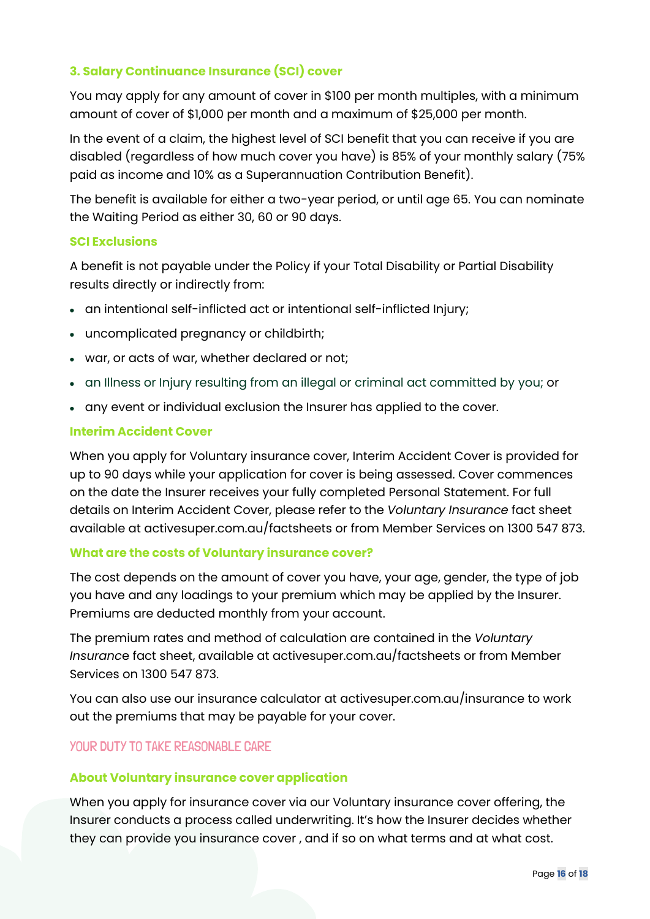## **3. Salary Continuance Insurance (SCI) cover**

You may apply for any amount of cover in \$100 per month multiples, with a minimum amount of cover of \$1,000 per month and a maximum of \$25,000 per month.

In the event of a claim, the highest level of SCI benefit that you can receive if you are disabled (regardless of how much cover you have) is 85% of your monthly salary (75% paid as income and 10% as a Superannuation Contribution Benefit).

The benefit is available for either a two-year period, or until age 65. You can nominate the Waiting Period as either 30, 60 or 90 days.

## **SCI Exclusions**

A benefit is not payable under the Policy if your Total Disability or Partial Disability results directly or indirectly from:

- an intentional self-inflicted act or intentional self-inflicted Injury;
- uncomplicated pregnancy or childbirth;
- war, or acts of war, whether declared or not;
- an Illness or Injury resulting from an illegal or criminal act committed by you; or
- any event or individual exclusion the Insurer has applied to the cover.

## **Interim Accident Cover**

When you apply for Voluntary insurance cover, Interim Accident Cover is provided for up to 90 days while your application for cover is being assessed. Cover commences on the date the Insurer receives your fully completed Personal Statement. For full details on Interim Accident Cover, please refer to the *Voluntary Insurance* fact sheet available at activesuper.com.au/factsheets or from Member Services on 1300 547 873.

## **What are the costs of Voluntary insurance cover?**

The cost depends on the amount of cover you have, your age, gender, the type of job you have and any loadings to your premium which may be applied by the Insurer. Premiums are deducted monthly from your account.

The premium rates and method of calculation are contained in the *Voluntary Insuranc*e fact sheet, available at activesuper.com.au/factsheets or from Member Services on 1300 547 873.

You can also use our insurance calculator at activesuper.com.au/insurance to work out the premiums that may be payable for your cover.

## YOUR DUTY TO TAKE REASONABLE CARE

## **About Voluntary insurance cover application**

When you apply for insurance cover via our Voluntary insurance cover offering, the Insurer conducts a process called underwriting. It's how the Insurer decides whether they can provide you insurance cover , and if so on what terms and at what cost.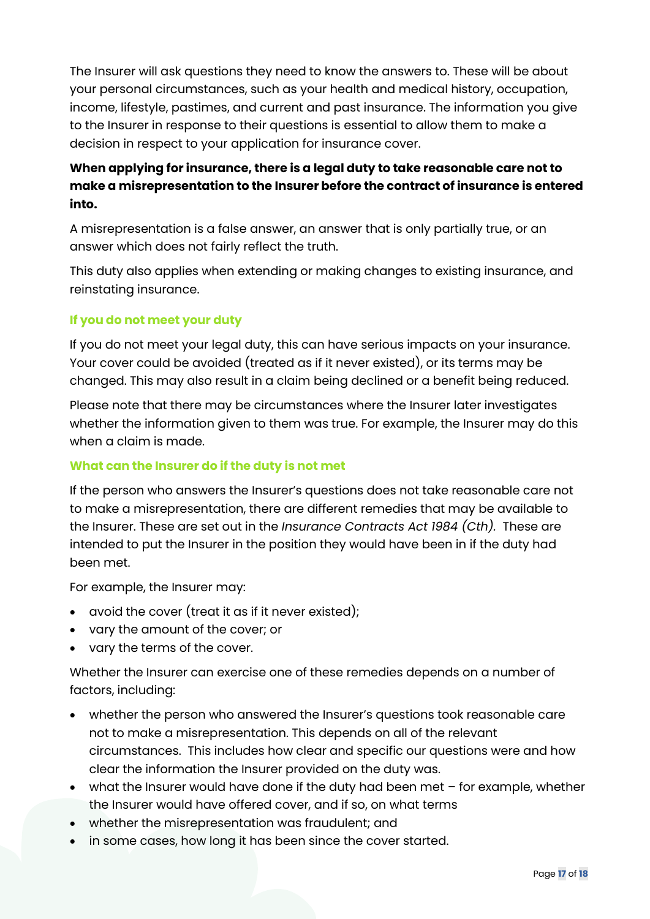The Insurer will ask questions they need to know the answers to. These will be about your personal circumstances, such as your health and medical history, occupation, income, lifestyle, pastimes, and current and past insurance. The information you give to the Insurer in response to their questions is essential to allow them to make a decision in respect to your application for insurance cover.

# **When applying for insurance, there is a legal duty to take reasonable care not to make a misrepresentation to the Insurer before the contract of insurance is entered into.**

A misrepresentation is a false answer, an answer that is only partially true, or an answer which does not fairly reflect the truth.

This duty also applies when extending or making changes to existing insurance, and reinstating insurance.

# **If you do not meet your duty**

If you do not meet your legal duty, this can have serious impacts on your insurance. Your cover could be avoided (treated as if it never existed), or its terms may be changed. This may also result in a claim being declined or a benefit being reduced.

Please note that there may be circumstances where the Insurer later investigates whether the information given to them was true. For example, the Insurer may do this when a claim is made.

## **What can the Insurer do if the duty is not met**

If the person who answers the Insurer's questions does not take reasonable care not to make a misrepresentation, there are different remedies that may be available to the Insurer. These are set out in the *Insurance Contracts Act 1984 (Cth).* These are intended to put the Insurer in the position they would have been in if the duty had been met.

For example, the Insurer may:

- avoid the cover (treat it as if it never existed);
- vary the amount of the cover; or
- vary the terms of the cover.

Whether the Insurer can exercise one of these remedies depends on a number of factors, including:

- whether the person who answered the Insurer's questions took reasonable care not to make a misrepresentation. This depends on all of the relevant circumstances. This includes how clear and specific our questions were and how clear the information the Insurer provided on the duty was.
- what the Insurer would have done if the duty had been met for example, whether the Insurer would have offered cover, and if so, on what terms
- whether the misrepresentation was fraudulent; and
- in some cases, how long it has been since the cover started.